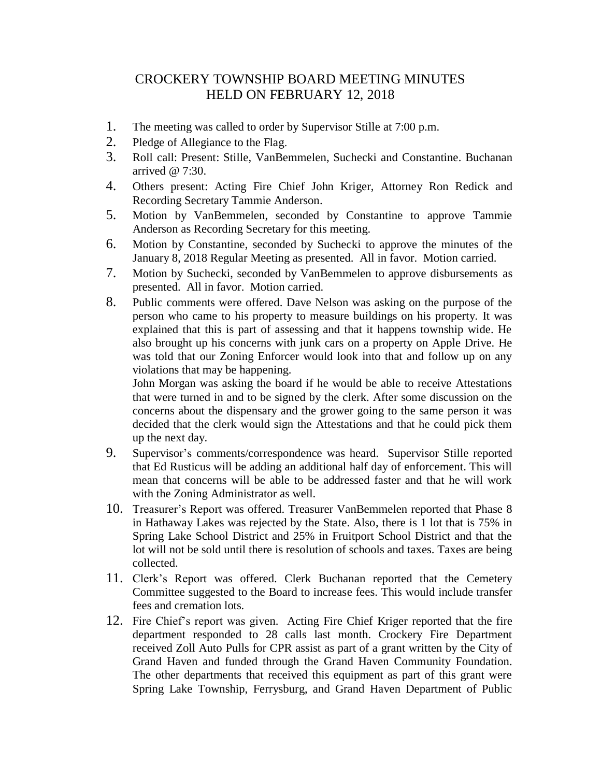## CROCKERY TOWNSHIP BOARD MEETING MINUTES HELD ON FEBRUARY 12, 2018

- 1. The meeting was called to order by Supervisor Stille at 7:00 p.m.
- 2. Pledge of Allegiance to the Flag.
- 3. Roll call: Present: Stille, VanBemmelen, Suchecki and Constantine. Buchanan arrived @ 7:30.
- 4. Others present: Acting Fire Chief John Kriger, Attorney Ron Redick and Recording Secretary Tammie Anderson.
- 5. Motion by VanBemmelen, seconded by Constantine to approve Tammie Anderson as Recording Secretary for this meeting.
- 6. Motion by Constantine, seconded by Suchecki to approve the minutes of the January 8, 2018 Regular Meeting as presented. All in favor. Motion carried.
- 7. Motion by Suchecki, seconded by VanBemmelen to approve disbursements as presented. All in favor. Motion carried.
- 8. Public comments were offered. Dave Nelson was asking on the purpose of the person who came to his property to measure buildings on his property. It was explained that this is part of assessing and that it happens township wide. He also brought up his concerns with junk cars on a property on Apple Drive. He was told that our Zoning Enforcer would look into that and follow up on any violations that may be happening.

John Morgan was asking the board if he would be able to receive Attestations that were turned in and to be signed by the clerk. After some discussion on the concerns about the dispensary and the grower going to the same person it was decided that the clerk would sign the Attestations and that he could pick them up the next day.

- 9. Supervisor's comments/correspondence was heard. Supervisor Stille reported that Ed Rusticus will be adding an additional half day of enforcement. This will mean that concerns will be able to be addressed faster and that he will work with the Zoning Administrator as well.
- 10. Treasurer's Report was offered. Treasurer VanBemmelen reported that Phase 8 in Hathaway Lakes was rejected by the State. Also, there is 1 lot that is 75% in Spring Lake School District and 25% in Fruitport School District and that the lot will not be sold until there is resolution of schools and taxes. Taxes are being collected.
- 11. Clerk's Report was offered. Clerk Buchanan reported that the Cemetery Committee suggested to the Board to increase fees. This would include transfer fees and cremation lots.
- 12. Fire Chief's report was given. Acting Fire Chief Kriger reported that the fire department responded to 28 calls last month. Crockery Fire Department received Zoll Auto Pulls for CPR assist as part of a grant written by the City of Grand Haven and funded through the Grand Haven Community Foundation. The other departments that received this equipment as part of this grant were Spring Lake Township, Ferrysburg, and Grand Haven Department of Public